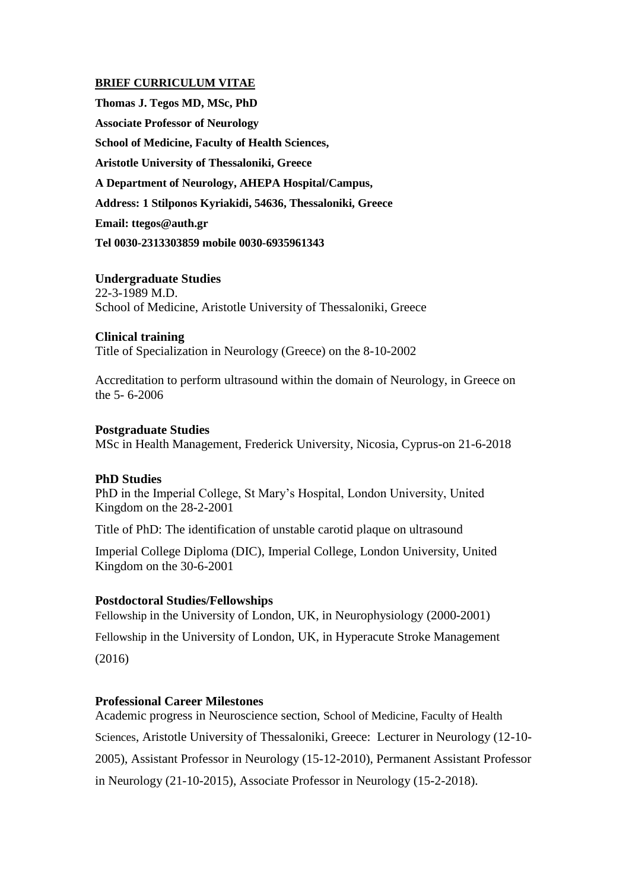## **BRIEF CURRICULUM VITAE**

**Thomas J. Tegos MD, MSc, PhD Associate Professor of Neurology School of Medicine, Faculty of Health Sciences, Aristotle University of Thessaloniki, Greece A Department of Neurology, AHEPA Hospital/Campus, Address: 1 Stilponos Kyriakidi, 54636, Thessaloniki, Greece Email: ttegos@auth.gr Tel 0030-2313303859 mobile 0030-6935961343**

### **Undergraduate Studies**

22-3-1989 M.D. School of Medicine, Aristotle University of Thessaloniki, Greece

### **Clinical training**

Title of Specialization in Neurology (Greece) on the 8-10-2002

Accreditation to perform ultrasound within the domain of Neurology, in Greece on the 5- 6-2006

### **Postgraduate Studies**

MSc in Health Management, Frederick University, Nicosia, Cyprus-on 21-6-2018

### **PhD Studies**

PhD in the Imperial College, St Mary's Hospital, London University, United Kingdom on the 28-2-2001

Title of PhD: The identification of unstable carotid plaque on ultrasound

Imperial College Diploma (DIC), Imperial College, London University, United Kingdom on the 30-6-2001

#### **Postdoctoral Studies/Fellowships**

Fellowship in the University of London, UK, in Neurophysiology (2000-2001)

Fellowship in the University of London, UK, in Hyperacute Stroke Management

(2016)

## **Professional Career Milestones**

Academic progress in Neuroscience section, School of Medicine, Faculty of Health Sciences, Aristotle University of Thessaloniki, Greece: Lecturer in Neurology (12-10- 2005), Assistant Professor in Neurology (15-12-2010), Permanent Assistant Professor in Neurology (21-10-2015), Associate Professor in Neurology (15-2-2018).